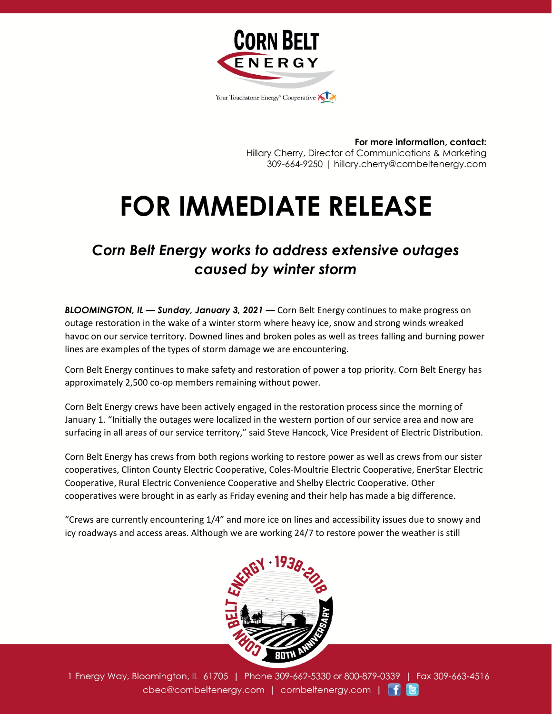

**For more information, contact:** Hillary Cherry, Director of Communications & Marketing 309-664-9250 | hillary.cherry@cornbeltenergy.com

## **FOR IMMEDIATE RELEASE**

## *Corn Belt Energy works to address extensive outages caused by winter storm*

*BLOOMINGTON, IL — Sunday, January 3, 2021 —* Corn Belt Energy continues to make progress on outage restoration in the wake of a winter storm where heavy ice, snow and strong winds wreaked havoc on our service territory. Downed lines and broken poles as well as trees falling and burning power lines are examples of the types of storm damage we are encountering.

Corn Belt Energy continues to make safety and restoration of power a top priority. Corn Belt Energy has approximately 2,500 co-op members remaining without power.

Corn Belt Energy crews have been actively engaged in the restoration process since the morning of January 1. "Initially the outages were localized in the western portion of our service area and now are surfacing in all areas of our service territory," said Steve Hancock, Vice President of Electric Distribution.

Corn Belt Energy has crews from both regions working to restore power as well as crews from our sister cooperatives, Clinton County Electric Cooperative, Coles-Moultrie Electric Cooperative, EnerStar Electric Cooperative, Rural Electric Convenience Cooperative and Shelby Electric Cooperative. Other cooperatives were brought in as early as Friday evening and their help has made a big difference.

"Crews are currently encountering 1/4" and more ice on lines and accessibility issues due to snowy and icy roadways and access areas. Although we are working 24/7 to restore power the weather is still



1 Energy Way, Bloomington, IL 61705 | Phone 309-662-5330 or 800-879-0339 | Fax 309-663-4516 cbec@cornbeltenergy.com | cornbeltenergy.com | f